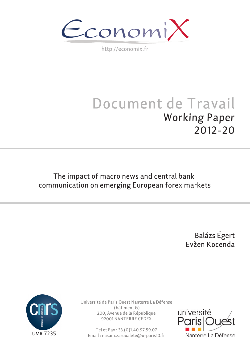$\epsilon$ conomi)

http://economix.fr

# Document de Travail Working Paper 2012-20

# The impact of macro news and central bank communication on emerging European forex markets

Balázs Égert Evžen Kocenda



Université de Paris Ouest Nanterre La Défense (bâtiment G) 200, Avenue de la République 92001 NANTERRE CEDEX

Tél et Fax : 33.(0)1.40.97.59.07 Email : nasam.zaroualete@u-paris10.fr

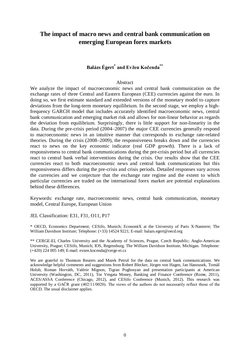# **The impact of macro news and central bank communication on emerging European forex markets**

### **Balázs Égert\* and Evžen Kočenda\*\***

#### **Abstract**

We analyze the impact of macroeconomic news and central bank communication on the exchange rates of three Central and Eastern European (CEE) currencies against the euro. In doing so, we first estimate standard and extended versions of the monetary model to capture deviations from the long-term monetary equilibrium. In the second stage, we employ a highfrequency GARCH model that includes accurately identified macroeconomic news, central bank communication and emerging market risk and allows for non-linear behavior as regards the deviation from equilibrium. Surprisingly, there is little support for non-linearity in the data. During the pre-crisis period (2004–2007) the major CEE currencies generally respond to macroeconomic news in an intuitive manner that corresponds to exchange rate-related theories. During the crisis (2008–2009), the responsiveness breaks down and the currencies react to news on the key economic indicator (real GDP growth). There is a lack of responsiveness to central bank communications during the pre-crisis period but all currencies react to central bank verbal interventions during the crisis. Our results show that the CEE currencies react to both macroeconomic news and central bank communications but this responsiveness differs during the pre-crisis and crisis periods. Detailed responses vary across the currencies and we conjecture that the exchange rate regime and the extent to which particular currencies are traded on the international forex market are potential explanations behind these differences.

Keywords: exchange rate, macroeconomic news, central bank communication, monetary model, Central Europe, European Union

JEL Classification: E31, F31, O11, P17

\* OECD, Economics Department; CESifo, Munich; EconomiX at the University of Paris X-Nanterre; The William Davidson Institute; Telephone: (+33) 14524 9221; E-mail: balazs.egert@oecd.org

\*\* CERGE-EI, Charles University and the Academy of Sciences, Prague, Czech Republic; Anglo-American University, Prague; CESifo, Munich; IOS, Regensburg; The William Davidson Institute, Michigan. Telephone: (+420) 224 005 149; E-mail: evzen.kocenda@cerge-ei.cz

We are grateful to Thomson Reuters and Marek Petruš for the data on central bank communications. We acknowledge helpful comments and suggestions from Robert Blecker, Jürgen von Hagen, Jan Hanousek, Tomáš Holub, Roman Horváth, Valérie Mignon, Tigran Poghosyan and presentation participants at American University (Washington, DC, 2011), Tor Vregata Money, Banking and Finance Conference (Rome, 2011), ACES/ASSA Conference (Chicago, 2012), and CESifo Conference (Munich, 2012). This research was supported by a GAČR grant (402/11/0020). The views of the authors do not necessarily reflect those of the OECD. The usual disclaimer applies.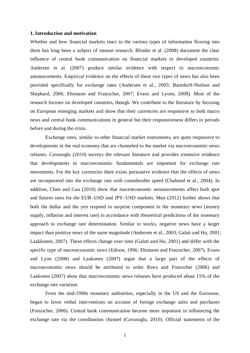#### **1. Introduction and motivation**

Whether and how financial markets react to the various types of information flowing into them has long been a subject of intense research. Blinder et al. (2008) document the clear influence of central bank communication on financial markets in developed countries. Andersen et al. (2007) produce similar evidence with respect to macroeconomic announcements. Empirical evidence on the effects of these two types of news has also been provided specifically for exchange rates (Andersen et al., 2003; Barndorff-Nielsen and Shephard, 2006; Ehrmann and Fratzscher, 2007; Evans and Lyons, 2008). Most of the research focuses on developed countries, though. We contribute to the literature by focusing on European emerging markets and show that their currencies are responsive to both macro news and central bank communications in general but their responsiveness differs in periods before and during the crisis.

Exchange rates, similar to other financial market instruments, are quite responsive to developments in the real economy that are channeled to the market via macroeconomic news releases. Cavusoglu (2010) surveys the relevant literature and provides extensive evidence that developments in macroeconomic fundamentals are important for exchange rate movements. For the key currencies there exists persuasive evidence that the effects of news are incorporated into the exchange rate with considerable speed (Chaboud et al., 2004). In addition, Chen and Gau (2010) show that macroeconomic announcements affect both spot and futures rates for the EUR–USD and JPY–USD markets. Mun (2012) further shows that both the dollar and the yen respond to surprise component in the monetary news (money supply, inflation and interest rate) in accordance with theoretical predictions of the monetary approach to exchange rate determination. Similar to stocks, negative news have a larger impact than positive news of the same magnitude (Andersen et al., 2003; Galati and Ho, 2001; Laakkonen, 2007). These effects change over time (Galati and Ho, 2001) and differ with the specific type of macroeconomic news (Edison, 1996; Ehrmann and Fratzscher, 2007). Evans and Lyon (2008) and Laakonen (2007) argue that a large part of the effects of macroeconomic news should be attributed to order flows and Fratzscher (2006) and Laakonen (2007) show that macroeconomic news releases have produced about 15% of the exchange rate variation.

From the mid-1990s monetary authorities, especially in the US and the Eurozone, began to favor verbal interventions on account of foreign exchange sales and purchases (Fratzscher, 2006). Central bank communication became more important in influencing the exchange rate via the coordination channel (Cavusoglu, 2010). Official statements of the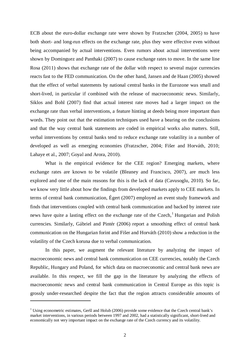ECB about the euro-dollar exchange rate were shown by Fratzscher (2004, 2005) to have both short- and long-run effects on the exchange rate, plus they were effective even without being accompanied by actual interventions. Even rumors about actual interventions were shown by Dominguez and Panthaki (2007) to cause exchange rates to move. In the same line Rosa (2011) shows that exchange rate of the dollar with respect to several major currencies reacts fast to the FED communication. On the other hand, Jansen and de Haan (2005) showed that the effect of verbal statements by national central banks in the Eurozone was small and short-lived, in particular if combined with the release of macroeconomic news. Similarly, Siklos and Bohl (2007) find that actual interest rate moves had a larger impact on the exchange rate than verbal interventions, a feature hinting at deeds being more important than words. They point out that the estimation techniques used have a bearing on the conclusions and that the way central bank statements are coded in empirical works also matters. Still, verbal interventions by central banks tend to reduce exchange rate volatility in a number of developed as well as emerging economies (Fratzscher, 2004; Fišer and Horváth, 2010; Lahaye et al., 2007; Goyal and Arora, 2010).

What is the empirical evidence for the CEE region? Emerging markets, where exchange rates are known to be volatile (Bleaney and Francisco, 2007), are much less explored and one of the main reasons for this is the lack of data (Cavusoglu, 2010). So far, we know very little about how the findings from developed markets apply to CEE markets. In terms of central bank communication, Égert (2007) employed an event study framework and finds that interventions coupled with central bank communication and backed by interest rate news have quite a lasting effect on the exchange rate of the Czech,<sup>[1](#page-3-0)</sup> Hungarian and Polish currencies. Similarly, Gábriel and Pintér (2006) report a smoothing effect of central bank communication on the Hungarian forint and Fišer and Horváth (2010) show a reduction in the volatility of the Czech koruna due to verbal communication.

In this paper, we augment the relevant literature by analyzing the impact of macroeconomic news and central bank communication on CEE currencies, notably the Czech Republic, Hungary and Poland, for which data on macroeconomic and central bank news are available. In this respect, we fill the gap in the literature by analyzing the effects of macroeconomic news and central bank communication in Central Europe as this topic is grossly under-researched despite the fact that the region attracts considerable amounts of

.<br>-

<span id="page-3-0"></span><sup>&</sup>lt;sup>1</sup> Using econometric estimates, Geršl and Holub (2006) provide some evidence that the Czech central bank's market interventions, in various periods between 1997 and 2002, had a statistically significant, short-lived and economically not very important impact on the exchange rate of the Czech currency and its volatility.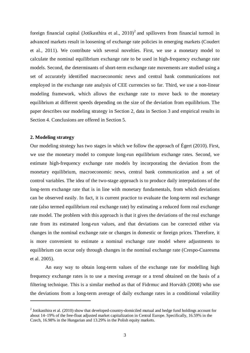foreign financial capital (Jotikasthira et al.,  $2010$  $2010$ )<sup>2</sup> and spillovers from financial turmoil in advanced markets result in loosening of exchange rate policies in emerging markets (Coudert et al., 2011). We contribute with several novelties. First, we use a monetary model to calculate the nominal equilibrium exchange rate to be used in high-frequency exchange rate models. Second, the determinants of short-term exchange rate movements are studied using a set of accurately identified macroeconomic news and central bank communications not employed in the exchange rate analysis of CEE currencies so far. Third, we use a non-linear modeling framework, which allows the exchange rate to move back to the monetary equilibrium at different speeds depending on the size of the deviation from equilibrium. The paper describes our modeling strategy in Section 2, data in Section 3 and empirical results in Section 4. Conclusions are offered in Section 5.

#### **2. Modeling strategy**

.<br>-

Our modeling strategy has two stages in which we follow the approach of Égert (2010). First, we use the monetary model to compute long-run equilibrium exchange rates. Second, we estimate high-frequency exchange rate models by incorporating the deviation from the monetary equilibrium, macroeconomic news, central bank communication and a set of control variables. The idea of the two-stage approach is to produce daily interpolations of the long-term exchange rate that is in line with monetary fundamentals, from which deviations can be observed easily. In fact, it is current practice to evaluate the long-term real exchange rate (also termed equilibrium real exchange rate) by estimating a reduced form real exchange rate model. The problem with this approach is that it gives the deviations of the real exchange rate from its estimated long-run values, and that deviations can be corrected either via changes in the nominal exchange rate or changes in domestic or foreign prices. Therefore, it is more convenient to estimate a nominal exchange rate model where adjustments to equilibrium can occur only through changes in the nominal exchange rate (Crespo-Cuaresma et al. 2005).

An easy way to obtain long-term values of the exchange rate for modelling high frequency exchange rates is to use a moving average or a trend obtained on the basis of a filtering technique. This is a similar method as that of Fidrmuc and Horváth (2008) who use the deviations from a long-term average of daily exchange rates in a conditional volatility

<span id="page-4-0"></span><sup>&</sup>lt;sup>2</sup> Jotikasthira et al. (2010) show that developed-country-domiciled mutual and hedge fund holdings account for about 14–19% of the free-float adjusted market capitalization in Central Europe. Specifically, 16.59% in the Czech, 16.98% in the Hungarian and 13.29% in the Polish equity markets.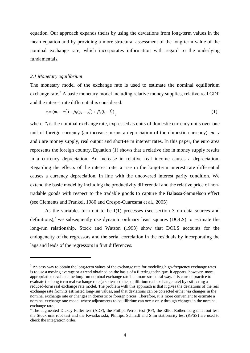equation. Our approach expands theirs by using the deviations from long-term values in the mean equation and by providing a more structural assessment of the long-term value of the nominal exchange rate, which incorporates information with regard to the underlying fundamentals.

#### *2.1 Monetary equilibrium*

-

The monetary model of the exchange rate is used to estimate the nominal equilibrium exchange rate.<sup>[3](#page-5-0)</sup> A basic monetary model including relative money supplies, relative real GDP and the interest rate differential is considered:

$$
e_t = (m_t - m_t^*) - \beta_1 (y_t - y_t^*) + \beta_2 (i_t - i_t^*)
$$
\n<sup>(1)</sup>

where  $e_t$  is the nominal exchange rate, expressed as units of domestic currency units over one unit of foreign currency (an increase means a depreciation of the domestic currency). *m*, *y* and *i* are money supply, real output and short-term interest rates. In this paper, the euro area represents the foreign country. Equation (1) shows that a relative rise in money supply results in a currency depreciation. An increase in relative real income causes a depreciation. Regarding the effects of the interest rate, a rise in the long-term interest rate differential causes a currency depreciation, in line with the uncovered interest parity condition. We extend the basic model by including the productivity differential and the relative price of nontradable goods with respect to the tradable goods to capture the Balassa-Samuelson effect (see Clements and Frankel, 1980 and Crespo-Cuaresma et al., 2005)

As the variables turn out to be  $I(1)$  processes (see section 3 on data sources and definitions),<sup>[4](#page-5-1)</sup> we subsequently use dynamic ordinary least squares (DOLS) to estimate the long-run relationship. Stock and Watson (1993) show that DOLS accounts for the endogeneity of the regressors and the serial correlation in the residuals by incorporating the lags and leads of the regressors in first differences:

<span id="page-5-0"></span><sup>&</sup>lt;sup>3</sup> An easy way to obtain the long-term values of the exchange rate for modeling high-frequency exchange rates is to use a moving average or a trend obtained on the basis of a filtering technique. It appears, however, more appropriate to evaluate the long-run nominal exchange rate in a more structural way. It is current practice to evaluate the long-term real exchange rate (also termed the equilibrium real exchange rate) by estimating a reduced-form real exchange rate model. The problem with this approach is that it gives the deviations of the real exchange rate from its estimated long-run values, and that deviations can be corrected either via changes in the nominal exchange rate or changes in domestic or foreign prices. Therefore, it is more convenient to estimate a nominal exchange rate model where adjustments to equilibrium can occur only through changes in the nominal exchange rate.

<span id="page-5-1"></span><sup>&</sup>lt;sup>4</sup> The augmented Dickey-Fuller test (ADF), the Philips-Perron test (PP), the Elliot-Rothernberg unit root test, the Stock unit root test and the Kwiatkowski, Phillips, Schmidt and Shin stationarity test (KPSS) are used to check the integration order.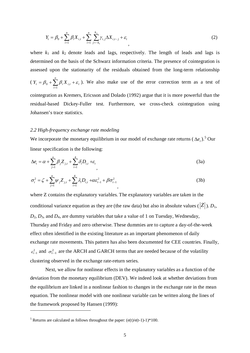$$
Y_{t} = \beta_{0} + \sum_{i=1}^{n} \beta_{i} X_{i,t} + \sum_{i=1}^{n} \sum_{j=-k_{1}}^{k_{2}} \gamma_{i,j} \Delta X_{i,t-j} + \varepsilon_{t}
$$
\n(2)

where  $k_1$  and  $k_2$  denote leads and lags, respectively. The length of leads and lags is determined on the basis of the Schwarz information criteria. The presence of cointegration is assessed upon the stationarity of the residuals obtained from the long-term relationship (  $Y_t = \beta_0 + \sum_{i=1}^{n} \beta_i X_{i,t} + \varepsilon_i$  $Y_t = \beta_0 + \sum_{i=1}^k \beta_i X_{i,t} + \varepsilon$ 1  $\sum_{i=0}^{\infty} \sum_{i} A_{i} A_{i} + \varepsilon_{i}$ . We also make use of the error correction term as a test of cointegration as Kremers, Ericsson and Dolado (1992) argue that it is more powerful than the residual-based Dickey-Fuller test. Furthermore, we cross-check cointegration using Johansen's trace statistics.

#### *2.2 High-frequency exchange rate modeling*

We incorporate the monetary equilibrium in our model of exchange rate returns ( $\Delta e_t$ ).<sup>[5](#page-6-0)</sup> Our linear specification is the following:

$$
\Delta e_t = \alpha + \sum_{j=1}^n \beta_j Z_{j,t} + \sum_{i=1}^4 \delta_i D_{i,t} + \varepsilon_t
$$
\n(3a)

$$
\sigma_i^2 = \zeta + \sum_{j=1}^n \psi_j Z_{j,t} + \sum_{i=1}^4 \lambda_i D_{i,t} + \alpha \varepsilon_{i-1}^2 + \beta \sigma_{i-1}^2
$$
\n(3b)

where Z contains the explanatory variables. The explanatory variables are taken in the conditional variance equation as they are (the raw data) but also in absolute values ( $|Z|$ ).  $D_1$ , *D*2, *D*3, and *D*4, are dummy variables that take a value of 1 on Tuesday, Wednesday, Thursday and Friday and zero otherwise. These dummies are to capture a day-of-the-week effect often identified in the existing literature as an important phenomenon of daily exchange rate movements. This pattern has also been documented for CEE countries. Finally,  $\varepsilon_{t-1}^2$  and  $\sigma_{t-1}^2$  are the ARCH and GARCH terms that are needed because of the volatility clustering observed in the exchange rate-return series.

Next, we allow for nonlinear effects in the explanatory variables as a function of the deviation from the monetary equilibrium (DEV). We indeed look at whether deviations from the equilibrium are linked in a nonlinear fashion to changes in the exchange rate in the mean equation. The nonlinear model with one nonlinear variable can be written along the lines of the framework proposed by Hansen (1999):

-

<span id="page-6-0"></span><sup>&</sup>lt;sup>5</sup> Returns are calculated as follows throughout the paper:  $(e(t)/e(t-1)-1)*100$ .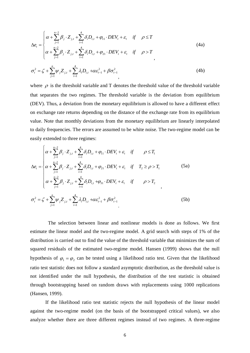$$
\Delta e_{t} = \begin{cases}\n\alpha + \sum_{j=1}^{n-2} \beta_{j} \cdot Z_{j,t} + \sum_{i=1}^{4} \delta_{i} D_{i,t} + \varphi_{11} \cdot DEV_{t} + \varepsilon_{t} & \text{if } \rho \leq T \\
\alpha + \sum_{j=1}^{n-2} \beta_{j} \cdot Z_{j,t} + \sum_{i=1}^{4} \delta_{i} D_{i,t} + \varphi_{21} \cdot DEV_{t} + \varepsilon_{t} & \text{if } \rho > T\n\end{cases}
$$
\n(4a)

$$
\sigma_t^2 = \zeta + \sum_{j=1}^n \psi_j Z_{j,t} + \sum_{i=1}^4 \lambda_i D_{i,t} + \alpha \varepsilon_{t-1}^2 + \beta \sigma_{t-1}^2
$$
\n(4b)

where  $\rho$  is the threshold variable and T denotes the threshold value of the threshold variable that separates the two regimes. The threshold variable is the deviation from equilibrium (DEV). Thus, a deviation from the monetary equilibrium is allowed to have a different effect on exchange rate returns depending on the distance of the exchange rate from its equilibrium value. Note that monthly deviations from the monetary equilibrium are linearly interpolated to daily frequencies. The errors are assumed to be white noise. The two-regime model can be easily extended to three regimes:

$$
\Delta e_{t} = \begin{cases}\n\alpha + \sum_{j=1}^{n-2} \beta_{j} \cdot Z_{j,t} + \sum_{i=1}^{4} \delta_{i} D_{i,t} + \varphi_{11} \cdot DEV_{t} + \varepsilon_{t} & \text{if } \rho \leq T_{1} \\
\alpha + \sum_{j=1}^{n-2} \beta_{j} \cdot Z_{j,t} + \sum_{i=1}^{4} \delta_{i} D_{i,t} + \varphi_{21} \cdot DEV_{t} + \varepsilon_{t} & \text{if } T_{2} \geq \rho > T_{1} \\
\alpha + \sum_{j=1}^{n-2} \beta_{j} \cdot Z_{j,t} + \sum_{i=1}^{4} \delta_{i} D_{i,t} + \varphi_{31} \cdot DEV_{t} + \varepsilon_{t} & \text{if } \rho > T_{2} \\
\sigma_{t}^{2} = \zeta + \sum_{j=1}^{n} \psi_{j} Z_{j,t} + \sum_{i=1}^{4} \lambda_{i} D_{i,t} + \alpha \varepsilon_{t-1}^{2} + \beta \sigma_{t-1}^{2}\n\end{cases}
$$
\n(5b)

The selection between linear and nonlinear models is done as follows. We first estimate the linear model and the two-regime model. A grid search with steps of 1% of the distribution is carried out to find the value of the threshold variable that minimizes the sum of squared residuals of the estimated two-regime model. Hansen (1999) shows that the null hypothesis of  $\varphi_1 = \varphi_2$  can be tested using a likelihood ratio test. Given that the likelihood ratio test statistic does not follow a standard asymptotic distribution, as the threshold value is not identified under the null hypothesis, the distribution of the test statistic is obtained through bootstrapping based on random draws with replacements using 1000 replications (Hansen, 1999).

If the likelihood ratio test statistic rejects the null hypothesis of the linear model against the two-regime model (on the basis of the bootstrapped critical values), we also analyze whether there are three different regimes instead of two regimes. A three-regime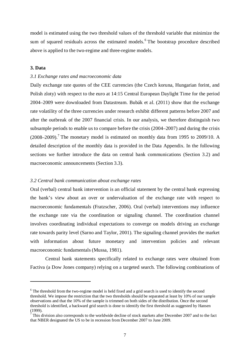model is estimated using the two threshold values of the threshold variable that minimize the sum of squared residuals across the estimated models.<sup>[6](#page-8-0)</sup> The bootstrap procedure described above is applied to the two-regime and three-regime models.

#### **3. Data**

-

#### *3.1 Exchange rates and macroeconomic data*

Daily exchange rate quotes of the CEE currencies (the Czech koruna, Hungarian forint, and Polish zloty) with respect to the euro at 14:15 Central European Daylight Time for the period 2004–2009 were downloaded from Datastream. Bubák et al. (2011) show that the exchange rate volatility of the three currencies under research exhibit different patterns before 2007 and after the outbreak of the 2007 financial crisis. In our analysis, we therefore distinguish two subsample periods to enable us to compare before the crisis (2004–2007) and during the crisis  $(2008-2009)$ .<sup>[7](#page-8-1)</sup> The monetary model is estimated on monthly data from 1995 to 2009/10. A detailed description of the monthly data is provided in the Data Appendix. In the following sections we further introduce the data on central bank communications (Section 3.2) and macroeconomic announcements (Section 3.3).

#### *3.2 Central bank communication about exchange rates*

Oral (verbal) central bank intervention is an official statement by the central bank expressing the bank's view about an over or undervaluation of the exchange rate with respect to macroeconomic fundamentals (Fratzscher, 2006). Oral (verbal) interventions may influence the exchange rate via the coordination or signaling channel. The coordination channel involves coordinating individual expectations to converge on models driving an exchange rate towards parity level (Sarno and Taylor, 2001). The signaling channel provides the market with information about future monetary and intervention policies and relevant macroeconomic fundamentals (Mussa, 1981).

Central bank statements specifically related to exchange rates were obtained from Factiva (a Dow Jones company) relying on a targeted search. The following combinations of

<span id="page-8-0"></span><sup>&</sup>lt;sup>6</sup> The threshold from the two-regime model is held fixed and a grid search is used to identify the second threshold. We impose the restriction that the two thresholds should be separated at least by 10% of our sample observations and that the 10% of the sample is trimmed on both sides of the distribution. Once the second threshold is identified, a backward grid search is done to identify the first threshold as suggested by Hansen (1999).

<span id="page-8-1"></span> $\hat{7}$  This division also corresponds to the worldwide decline of stock markets after December 2007 and to the fact that NBER designated the US to be in recession from December 2007 to June 2009.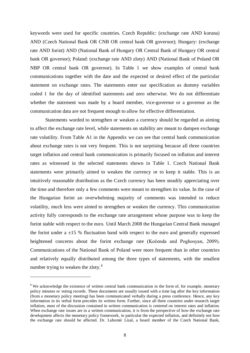keywords were used for specific countries. Czech Republic: (exchange rate AND koruna) AND (Czech National Bank OR CNB OR central bank OR governor); Hungary: (exchange rate AND forint) AND (National Bank of Hungary OR Central Bank of Hungary OR central bank OR governor); Poland: (exchange rate AND zloty) AND (National Bank of Poland OR NBP OR central bank OR governor). In Table 1 we show examples of central bank communications together with the date and the expected or desired effect of the particular statement on exchange rates. The statements enter our specification as dummy variables coded 1 for the day of identified statements and zero otherwise. We do not differentiate whether the statement was made by a board member, vice-governor or a governor as the communication data are not frequent enough to allow for effective differentiation.

Statements worded to strengthen or weaken a currency should be regarded as aiming to affect the exchange rate level, while statements on stability are meant to dampen exchange rate volatility. From Table A1 in the Appendix we can see that central bank communication about exchange rates is not very frequent. This is not surprising because all three countries target inflation and central bank communication is primarily focused on inflation and interest rates as witnessed in the selected statements shown in Table 1. Czech National Bank statements were primarily aimed to weaken the currency or to keep it stable. This is an intuitively reasonable distribution as the Czech currency has been steadily appreciating over the time and therefore only a few comments were meant to strengthen its value. In the case of the Hungarian forint an overwhelming majority of comments was intended to reduce volatility, much less were aimed to strengthen or weaken the currency. This communication activity fully corresponds to the exchange rate arrangement whose purpose was to keep the forint stable with respect to the euro. Until March 2008 the Hungarian Central Bank managed the forint under a  $\pm 15$  % fluctuation band with respect to the euro and generally expressed heightened concerns about the forint exchange rate (Kočenda and Poghosyan, 2009). Communications of the National Bank of Poland were more frequent than in other countries and relatively equally distributed among the three types of statements, with the smallest number trying to weaken the zloty.<sup>[8](#page-9-0)</sup>

-

<span id="page-9-0"></span><sup>&</sup>lt;sup>8</sup> We acknowledge the existence of written central bank communication in the form of, for example, monetary policy minutes or voting records. These documents are usually issued with a time lag after the key information (from a monetary policy meeting) has been communicated verbally during a press conference. Hence, any key information in its verbal form precedes its written form. Further, since all three countries under research target inflation, most of the discussion contained in written communication is centered on interest rates and inflation. When exchange rate issues are in a written communication, it is from the perspective of how the exchange rate development affects the monetary policy framework, in particular the expected inflation, and definitely not how the exchange rate should be affected. Dr. Lubomír Lízal, a board member of the Czech National Bank,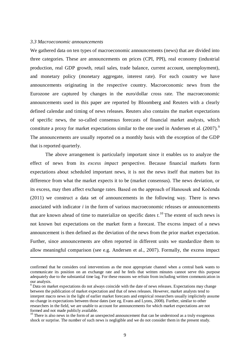#### *3.3 Macroeconomic announcements*

-

We gathered data on ten types of macroeconomic announcements (news) that are divided into three categories. These are announcements on prices (CPI, PPI), real economy (industrial production, real GDP growth, retail sales, trade balance, current account, unemployment), and monetary policy (monetary aggregate, interest rate). For each country we have announcements originating in the respective country. Macroeconomic news from the Eurozone are captured by changes in the euro/dollar cross rate. The macroeconomic announcements used in this paper are reported by Bloomberg and Reuters with a clearly defined calendar and timing of news releases. Reuters also contains the market expectations of specific news, the so-called consensus forecasts of financial market analysts, which constitute a proxy for market expectations similar to the one used in Andersen et al. (2007).<sup>[9](#page-10-0)</sup> The announcements are usually reported on a monthly basis with the exception of the GDP that is reported quarterly.

The above arrangement is particularly important since it enables us to analyze the effect of news from its *excess impact* perspective. Because financial markets form expectations about scheduled important news, it is not the news itself that matters but its difference from what the market expects it to be (market consensus). The news deviation, or its excess, may then affect exchange rates. Based on the approach of Hanousek and Kočenda (2011) we construct a data set of announcements in the following way. There is news associated with indicator *i* in the form of various macroeconomic releases or announcements that are known ahead of time to materialize on specific dates  $t$ .<sup>[10](#page-10-1)</sup> The extent of such news is not known but expectations on the market form a forecast. The excess impact of a news announcement is then defined as the deviation of the news from the prior market expectation. Further, since announcements are often reported in different units we standardize them to allow meaningful comparison (see e.g. Andersen et al., 2007). Formally, the excess impact

confirmed that he considers oral interventions as the most appropriate channel when a central bank wants to communicate its position on an exchange rate and he feels that written minutes cannot serve this purpose adequately due to the substantial time lag. For these reasons we refrain from including written communication in our analysis.

<span id="page-10-0"></span><sup>&</sup>lt;sup>9</sup> Data on market expectations do not always coincide with the date of news releases. Expectations may change between the publication of market expectation and that of news releases. However, market analysts tend to interpret macro news in the light of earlier market forecasts and empirical researchers usually implicitely assume no change in expectations between those dates (see eg. Evans and Lyons, 2008). Further, similar to other researchers in the field, we are unable to account for announcements for which market expectations are not

<span id="page-10-1"></span> $10$  There is also news in the form of an unexpected announcement that can be understood as a truly exogenous shock or surprise. The number of such news is negligible and we do not consider them in the present study.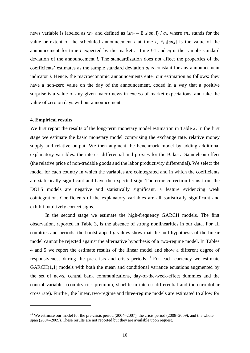news variable is labeled as  $xn_{it}$  and defined as  $(sn_{it} - E_{t-1}[sn_{it}]) / \sigma_i$ , where  $sn_{it}$  stands for the value or extent of the scheduled announcement *i* at time *t*,  $E_{t-1}[sn_{it}]$  is the value of the announcement for time *t* expected by the market at time *t*-1 and  $\sigma_i$  is the sample standard deviation of the announcement *i*. The standardization does not affect the properties of the coefficients' estimates as the sample standard deviation  $\sigma_i$  is constant for any announcement indicator *i*. Hence, the macroeconomic announcements enter our estimation as follows: they have a non-zero value on the day of the announcement, coded in a way that a positive surprise is a value of any given macro news in excess of market expectations, and take the value of zero on days without announcement.

#### **4. Empirical results**

-

We first report the results of the long-term monetary model estimation in Table 2. In the first stage we estimate the basic monetary model comprising the exchange rate, relative money supply and relative output. We then augment the benchmark model by adding additional explanatory variables: the interest differential and proxies for the Balassa-Samuelson effect (the relative price of non-tradable goods and the labor productivity differential). We select the model for each country in which the variables are cointegrated and in which the coefficients are statistically significant and have the expected sign. The error correction terms from the DOLS models are negative and statistically significant, a feature evidencing weak cointegration. Coefficients of the explanatory variables are all statistically significant and exhibit intuitively correct signs.

In the second stage we estimate the high-frequency GARCH models. The first observation, reported in Table 3, is the absence of strong nonlinearities in our data. For all countries and periods, the bootstrapped *p*-values show that the null hypothesis of the linear model cannot be rejected against the alternative hypothesis of a two-regime model. In Tables 4 and 5 we report the estimate results of the linear model and show a different degree of responsiveness during the pre-crisis and crisis periods.<sup>[11](#page-11-0)</sup> For each currency we estimate  $GARCH(1,1)$  models with both the mean and conditional variance equations augmented by the set of news, central bank communications, day-of-the-week-effect dummies and the control variables (country risk premium, short-term interest differential and the euro-dollar cross rate). Further, the linear, two-regime and three-regime models are estimated to allow for

<span id="page-11-0"></span> $11$  We estimate our model for the pre-crisis period (2004–2007), the crisis period (2008–2009), and the whole span (2004–2009). These results are not reported but they are available upon request.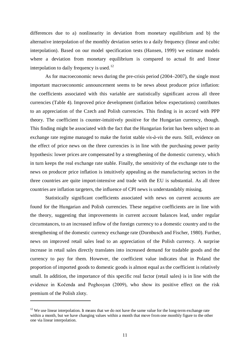differences due to a) nonlinearity in deviation from monetary equilibrium and b) the alternative interpolation of the monthly deviation series to a daily frequency (linear and cubic interpolation). Based on our model specification tests (Hansen, 1999) we estimate models where a deviation from monetary equilibrium is compared to actual fit and linear interpolation to daily frequency is used.<sup>[12](#page-12-0)</sup>

As for macroeconomic news during the pre-crisis period (2004–2007), the single most important macroeconomic announcement seems to be news about producer price inflation: the coefficients associated with this variable are statistically significant across all three currencies (Table 4). Improved price development (inflation below expectations) contributes to an appreciation of the Czech and Polish currencies. This finding is in accord with PPP theory. The coefficient is counter-intuitively positive for the Hungarian currency, though. This finding might be associated with the fact that the Hungarian forint has been subject to an exchange rate regime managed to make the forint stable *vis-à-vis* the euro. Still, evidence on the effect of price news on the three currencies is in line with the purchasing power parity hypothesis: lower prices are compensated by a strengthening of the domestic currency, which in turn keeps the real exchange rate stable. Finally, the sensitivity of the exchange rate to the news on producer price inflation is intuitively appealing as the manufacturing sectors in the three countries are quite import-intensive and trade with the EU is substantial. As all three countries are inflation targeters, the influence of CPI news is understandably missing.

Statistically significant coefficients associated with news on current accounts are found for the Hungarian and Polish currencies. These negative coefficients are in line with the theory, suggesting that improvements in current account balances lead, under regular circumstances, to an increased inflow of the foreign currency to a domestic country and to the strengthening of the domestic currency exchange rate (Dornbusch and Fischer, 1980). Further, news on improved retail sales lead to an appreciation of the Polish currency. A surprise increase in retail sales directly translates into increased demand for tradable goods and the currency to pay for them. However, the coefficient value indicates that in Poland the proportion of imported goods to domestic goods is almost equal as the coefficient is relatively small. In addition, the importance of this specific real factor (retail sales) is in line with the evidence in Kočenda and Poghosyan (2009), who show its positive effect on the risk premium of the Polish zloty.

.<br>-

<span id="page-12-0"></span> $12$  We use linear interpolation. It means that we do not have the same value for the long-term exchange rate within a month, but we have changing values within a month that move from one monthly figure to the other one via linear interpolation.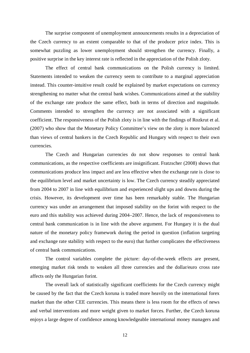The surprise component of unemployment announcements results in a depreciation of the Czech currency to an extent comparable to that of the producer price index. This is somewhat puzzling as lower unemployment should strengthen the currency. Finally, a positive surprise in the key interest rate is reflected in the appreciation of the Polish zloty.

The effect of central bank communications on the Polish currency is limited. Statements intended to weaken the currency seem to contribute to a marginal appreciation instead. This counter-intuitive result could be explained by market expectations on currency strengthening no matter what the central bank wishes. Communications aimed at the stability of the exchange rate produce the same effect, both in terms of direction and magnitude. Comments intended to strengthen the currency are not associated with a significant coefficient. The responsiveness of the Polish zloty is in line with the findings of Rozkrut et al. (2007) who show that the Monetary Policy Committee's view on the zloty is more balanced than views of central bankers in the Czech Republic and Hungary with respect to their own currencies.

The Czech and Hungarian currencies do not show responses to central bank communications, as the respective coefficients are insignificant. Fratzscher (2008) shows that communications produce less impact and are less effective when the exchange rate is close to the equilibrium level and market uncertainty is low. The Czech currency steadily appreciated from 2004 to 2007 in line with equilibrium and experienced slight ups and downs during the crisis. However, its development over time has been remarkably stable. The Hungarian currency was under an arrangement that imposed stability on the forint with respect to the euro and this stability was achieved during 2004–2007. Hence, the lack of responsiveness to central bank communication is in line with the above argument. For Hungary it is the dual nature of the monetary policy framework during the period in question (inflation targeting and exchange rate stability with respect to the euro) that further complicates the effectiveness of central bank communications.

The control variables complete the picture: day-of-the-week effects are present, emerging market risk tends to weaken all three currencies and the dollar/euro cross rate affects only the Hungarian forint.

The overall lack of statistically significant coefficients for the Czech currency might be caused by the fact that the Czech koruna is traded more heavily on the international forex market than the other CEE currencies. This means there is less room for the effects of news and verbal interventions and more weight given to market forces. Further, the Czech koruna enjoys a large degree of confidence among knowledgeable international money managers and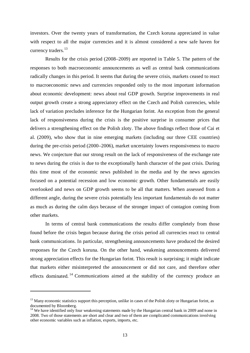investors. Over the twenty years of transformation, the Czech koruna appreciated in value with respect to all the major currencies and it is almost considered a new safe haven for currency traders.<sup>[13](#page-14-0)</sup>

Results for the crisis period (2008–2009) are reported in Table 5. The pattern of the responses to both macroeconomic announcements as well as central bank communications radically changes in this period. It seems that during the severe crisis, markets ceased to react to macroeconomic news and currencies responded only to the most important information about economic development: news about real GDP growth. Surprise improvements in real output growth create a strong appreciatory effect on the Czech and Polish currencies, while lack of variation precludes inference for the Hungarian forint. An exception from the general lack of responsiveness during the crisis is the positive surprise in consumer prices that delivers a strengthening effect on the Polish zloty. The above findings reflect those of Cai et al. (2009), who show that in nine emerging markets (including our three CEE countries) during the pre-crisis period (2000–2006), market uncertainty lowers responsiveness to macro news. We conjecture that our strong result on the lack of responsiveness of the exchange rate to news during the crisis is due to the exceptionally harsh character of the past crisis. During this time most of the economic news published in the media and by the news agencies focused on a potential recession and low economic growth. Other fundamentals are easily overlooked and news on GDP growth seems to be all that matters. When assessed from a different angle, during the severe crisis potentially less important fundamentals do not matter as much as during the calm days because of the stronger impact of contagion coming from other markets.

In terms of central bank communications the results differ completely from those found before the crisis begun because during the crisis period all currencies react to central bank communications. In particular, strengthening announcements have produced the desired responses for the Czech koruna. On the other hand, weakening announcements delivered strong appreciation effects for the Hungarian forint. This result is surprising; it might indicate that markets either misinterpreted the announcement or did not care, and therefore other effects dominated.<sup>[14](#page-14-1)</sup> Communications aimed at the stability of the currency produce an

-

<span id="page-14-0"></span><sup>&</sup>lt;sup>13</sup> Many economic statistics support this perception, unlike in cases of the Polish zloty or Hungarian forint, as documented by Bloomberg.

<span id="page-14-1"></span><sup>&</sup>lt;sup>14</sup> We have identified only four weakening statements made by the Hungarian central bank in 2009 and none in 2008. Two of those statements are short and clear and two of them are complicated communications involving other economic variables such as inflation, exports, imports, etc.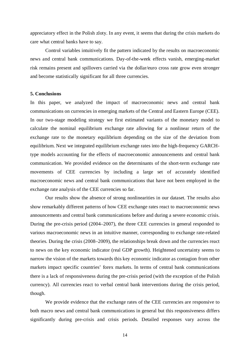appreciatory effect in the Polish zloty. In any event, it seems that during the crisis markets do care what central banks have to say.

Control variables intuitively fit the pattern indicated by the results on macroeconomic news and central bank communications. Day-of-the-week effects vanish, emerging-market risk remains present and spillovers carried via the dollar/euro cross rate grow even stronger and become statistically significant for all three currencies.

#### **5. Conclusions**

In this paper, we analyzed the impact of macroeconomic news and central bank communications on currencies in emerging markets of the Central and Eastern Europe (CEE). In our two-stage modeling strategy we first estimated variants of the monetary model to calculate the nominal equilibrium exchange rate allowing for a nonlinear return of the exchange rate to the monetary equilibrium depending on the size of the deviation from equilibrium. Next we integrated equilibrium exchange rates into the high-frequency GARCHtype models accounting for the effects of macroeconomic announcements and central bank communication. We provided evidence on the determinants of the short-term exchange rate movements of CEE currencies by including a large set of accurately identified macroeconomic news and central bank communications that have not been employed in the exchange rate analysis of the CEE currencies so far.

Our results show the absence of strong nonlinearities in our dataset. The results also show remarkably different patterns of how CEE exchange rates react to macroeconomic news announcements and central bank communications before and during a severe economic crisis. During the pre-crisis period (2004–2007), the three CEE currencies in general responded to various macroeconomic news in an intuitive manner, corresponding to exchange rate-related theories. During the crisis (2008–2009), the relationships break down and the currencies react to news on the key economic indicator (real GDP growth). Heightened uncertainty seems to narrow the vision of the markets towards this key economic indicator as contagion from other markets impact specific countries' forex markets. In terms of central bank communications there is a lack of responsiveness during the pre-crisis period (with the exception of the Polish currency). All currencies react to verbal central bank interventions during the crisis period, though.

We provide evidence that the exchange rates of the CEE currencies are responsive to both macro news and central bank communications in general but this responsiveness differs significantly during pre-crisis and crisis periods. Detailed responses vary across the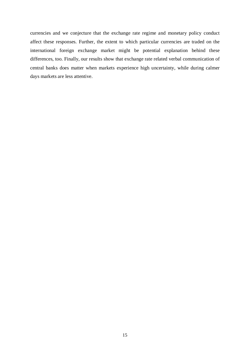currencies and we conjecture that the exchange rate regime and monetary policy conduct affect these responses. Further, the extent to which particular currencies are traded on the international foreign exchange market might be potential explanation behind these differences, too. Finally, our results show that exchange rate related verbal communication of central banks does matter when markets experience high uncertainty, while during calmer days markets are less attentive.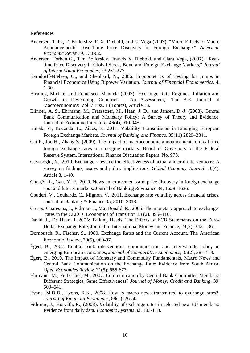#### **References**

- Andersen, T. G., T. Bollerslev, F. X. Diebold, and C. Vega (2003). "Micro Effects of Macro Announcements: Real-Time Price Discovery in Foreign Exchange." *American Economic Review* 93, 38-62.
- Andersen, Torben G., Tim Bollerslev, Francis X. Diebold, and Clara Vega, (2007). "Realtime Price Discovery in Global Stock, Bond and Foreign Exchange Markets," *Journal of International Economics*, 73:251-277.
- Barndorff-Nielsen, O., and Shephard, N., 2006. Econometrics of Testing for Jumps in Financial Economics Using Bipower Variation, *Journal of Financial Econometrics*, 4, 1-30.
- Bleaney, Michael and Francisco, Manuela (2007) "Exchange Rate Regimes, Inflation and Growth in Developing Countries -- An Assessment," The B.E. Journal of Macroeconomics: Vol. 7 : Iss. 1 (Topics), Article 18.
- Blinder, A. S., Ehrmann, M., Fratzscher, M., Haan, J. D., and Jansen, D.-J. (2008). Central Bank Communication and Monetary Policy: A Survey of Theory and Evidence. Journal of Economic Literature, 46(4), 910-945.
- Bubák, V., Kočenda, E., Žikeš, F., 2011. Volatility Transmission in Emerging European Foreign Exchange Markets. *Journal of Banking and Finance*, 35(11) 2829–2841.
- Cai F., Joo H., Zhang Z. (2009). The impact of macroeconomic announcements on real time foreign exchange rates in emerging markets. Board of Governors of the Federal Reserve System, International Finance Discussion Papers, No. 973.
- Cavusoglu, N., 2010. Exchange rates and the effectiveness of actual and oral interventions: A survey on findings, issues and policy implications. *Global Economy Journal*, 10(4), Article 3, 1-40.
- Chen,Y.-L., Gau, Y.-F., 2010. News announcements and price discovery in foreign exchange spot and futures markets. Journal of Banking & Finance 34, 1628–1636.
- Coudert, V., Couharde, C., Mignon, V., 2011. Exchange rate volatility across financial crises. Journal of Banking & Finance 35, 3010–3018.
- Crespo-Cuaresma, J., Fidrmuc J., MacDonald. R., 2005. The monetary approach to exchange rates in the CEECs. Economics of Transition 13 (2). 395–416.
- David, J., De Haan, J. 2005: Talking Heads: The Effects of ECB Statements on the Euro-Dollar Exchange Rate, Journal of International Money and Finance, 24(2), 343 – 361.
- Dornbusch, R., Fischer, S., 1980. Exchange Rates and the Current Account. The American Economic Review, 70(5), 960-97.
- Égert, B., 2007. Central bank interventions, communication and interest rate policy in emerging European economies, *Journal of Comparative Economics*, 35(2), 387-413.
- Égert, B., 2010. The Impact of Monetary and Commodity Fundamentals, Macro News and Central Bank Communication on the Exchange Rate: Evidence from South Africa. *Open Economies Review*, 21(5): 655-677.
- Ehrmann, M., Fratzscher, M., 2007. Communication by Central Bank Committee Members: Different Strategies, Same Effectiveness? *Journal of Money, Credit and Banking*, 39: 509–541.
- Evans, M.D.D., Lyons, R.K., 2008. How is macro news transmitted to exchange rates?, *Journal of Financial Economics*, 88(1): 26-50.
- Fidrmuc, J., Horváth, R., (2008). Volatiltiy of exchange rates in selected new EU members: Evidence from daily data. *Economic Systems* 32, 103-118.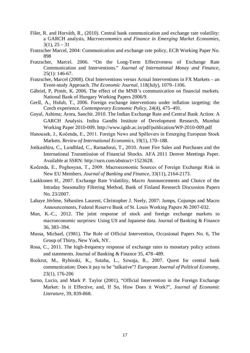- Fišer, R. and Horváth, R., (2010). Central bank communication and exchange rate volatility: a GARCH analysis, *Macroeconomics and Finance in Emerging Market Economies*,  $3(1), 25 - 31$
- Fratzscher Marcel, 2004: Communication and exchange rate policy, ECB Working Paper No. 898
- Fratzscher, Marcel. 2006. "On the Long-Term Effectiveness of Exchange Rate Communication and Interventions." *Journal of International Money and Finance*, 25(1): 146-67.
- Fratzscher, Marcel (2008). Oral Interventions versus Actual Interventions in FX Markets an Event-study Approach. *The Economic Journal*, 118(July), 1079–1106.
- Gábriel, P, Pintér, K. 2006. The effect of the MNB's communication on financial markets. National Bank of Hungary Working Papers 2006/9.
- Geršl, A., Holub, T., 2006. Foreign exchange interventions under inflation targeting: the Czech experience. *Contemporary Economic Policy*, 24(4), 475–491.
- Goyal, Ashima; Arora, Sanchit. 2010. The Indian Exchange Rate and Central Bank Action: A GARCH Analysis. Indira Gandhi Institute of Development Research, Mumbai Working Paper 2010-009. http://www.igidr.ac.in/pdf/publication/WP-2010-009.pdf
- Hanousek, J., Kočenda, E., 2011. Foreign News and Spillovers in Emerging European Stock Markets. *Review of International Economics*, 19(1), 170–188.
- Jotikasthira, C., Lundblad, C., Ramadorai, T., 2010. Asset Fire Sales and Purchases and the International Transmission of Financial Shocks. AFA 2011 Denver Meetings Paper. Available at SSRN: http://ssrn.com/abstract=1523628.
- Kočenda, E., Poghosyan, T., 2009. Macroeconomic Sources of Foreign Exchange Risk in New EU Members. *Journal of Banking and Finance*, 33(11), 2164-2173.
- Laakkonen H., 2007. Exchange Rate Volatility, Macro Announcements and Choice of the Intraday Seasonality Filtering Method, Bank of Finland Research Discussion Papers No. 23/2007.
- Lahaye Jérôme, Sébastien Laurent, Christopher J. Neely, 2007: Jumps, Cojumps and Macro Announcements, Federal Reserve Bank of St. Louis Working Papers № 2007-032.
- Mun, K.-C., 2012. The joint response of stock and foreign exchange markets to macroeconomic surprises: Using US and Japanese data. Journal of Banking & Finance 36, 383–394.
- Mussa, Michael, (1981). The Role of Official Intervention, Occasional Papers No. 6, The Group of Thirty, New York, NY.
- Rosa, C., 2011. The high-frequency response of exchange rates to monetary policy actions and statements. Journal of Banking & Finance 35, 478–489.
- Rozkrut, M., Rybinski, K., Sztaba, L., Szwaja, R., 2007. Quest for central bank communication: Does it pay to be "talkative"? *European Journal of Political Economy*, 23(1), 176-206
- Sarno, Lucio, and Mark P. Taylor (2001), "Official Intervention in the Foreign Exchange Market: Is it Effective, and, If So, How Does it Work?", *Journal of Economic Literature*, 39, 839-868.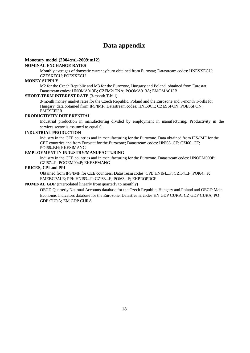## **Data appendix**

#### **Monetary model (2004:m1-2009:m12)**

#### **NOMINAL EXCHANGE RATES**

Monthly averages of domestic currency/euro obtained from Eurostat; Datastream codes: HNESXECU; CZESXECU; POESXECU

#### **MONEY SUPPLY**

M2 for the Czech Republic and M3 for the Eurozone, Hungary and Poland, obtained from Eurostat; Datastream codes: HNOMA013B; CZFM21TNA; POOMA013A; EMOMA013B

#### **SHORT-TERM INTEREST RATE** (3-month T-bill)

3-month money market rates for the Czech Republic, Poland and the Eurozone and 3-month T-bills for Hungary, data obtained from IFS/IMF; Datastream codes: HNI60C..; CZESSFON; POESSFON; EMESEFI3R

#### **PRODUCTIVITY DIFFERENTIAL**

Industrial production in manufacturing divided by employment in manufacturing. Productivity in the services sector is assumed to equal 0.

#### **INDUSTRIAL PRODUCTION**

Industry in the CEE countries and in manufacturing for the Eurozone. Data obtained from IFS/IMF for the CEE countries and from Eurostat for the Eurozone; Datastream codes: HNI66..CE; CZI66..CE; POI66..BH; EKESIMANG

#### **EMPLOYMENT IN INDUSTRY/MANUFACTURING**

Industry in the CEE countries and in manufacturing for the Eurozone. Datastream codes: HNOEM009P; CZI67...F; POOEM004P; EKESEMANG

#### **PRICES, CPI and PPI**

Obtained from IFS/IMF for CEE countries. Datastream codes: CPI: HNI64...F; CZI64...F; POI64...F; EMEBCPALE; PPI: HNI63...F; CZI63...F; POI63...F; EKPROPRCF

#### **NOMINAL GDP** (interpolated linearly from quarterly to monthly)

OECD Quarterly National Accounts database for the Czech Republic, Hungary and Poland and OECD Main Economic Indicators database for the Eurozone. Datastream, codes HN GDP CURA; CZ GDP CURA; PO GDP CURA; EM GDP CURA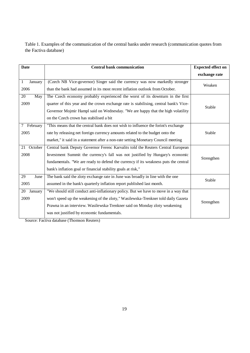Table 1. Examples of the communication of the central banks under research (communication quotes from the Factiva database)

| <b>Date</b>             | <b>Central bank communication</b>                                                     | <b>Expected effect on</b> |
|-------------------------|---------------------------------------------------------------------------------------|---------------------------|
|                         |                                                                                       | exchange rate             |
| 1<br>January            | (Czech NB Vice-governor) Singer said the currency was now markedly stronger           | Weaken                    |
| 2006                    | than the bank had assumed in its most recent inflation outlook from October.          |                           |
| 20<br>May               | The Czech economy probably experienced the worst of its downturn in the first         |                           |
| 2009                    | quarter of this year and the crown exchange rate is stabilising, central bank's Vice- | Stable                    |
|                         | Governor Mojmir Hampl said on Wednesday. "We are happy that the high volatility       |                           |
|                         | on the Czech crown has stabilised a bit                                               |                           |
| February<br>7           | "This means that the central bank does not wish to influence the forint's exchange    |                           |
| 2005                    | rate by releasing net foreign currency amounts related to the budget onto the         | Stable                    |
|                         | market," it said in a statement after a non-rate setting Monetary Council meeting     |                           |
| $\overline{21}$ October | Central bank Deputy Governor Ferenc Karvalits told the Reuters Central European       |                           |
| 2008                    | Investment Summit the currency's fall was not justified by Hungary's economic         | Strengthen                |
|                         | fundamentals. "We are ready to defend the currency if its weakness puts the central   |                           |
|                         | bank's inflation goal or financial stability goals at risk,"                          |                           |
| 29<br>June              | The bank said the zloty exchange rate in June was broadly in line with the one        | Stable                    |
| 2005                    | assumed in the bank's quarterly inflation report published last month.                |                           |
| 20<br>January           | "We should still conduct anti-inflationary policy. But we have to move in a way that  |                           |
| 2009                    | won't speed up the weakening of the zloty," Wasilewska-Trenkner told daily Gazeta     | Strengthen                |
|                         | Prawna in an interview. Wasilewska-Trenkner said on Monday zloty weakening            |                           |
|                         | was not justified by economic fundamentals.                                           |                           |

Source: Factiva database (Thomson Reuters)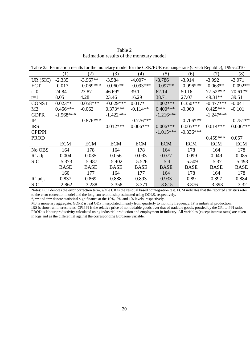Table 2 Estimation results of the monetary model

Table 2a. Estimation results for the monetary model for the CZK/EUR exchange rate (Czech Republic), 1995-2010

|                | (1)         | (2)         | (3)         | (4)         | (5)         | (6)         | (7)         | (8)         |
|----------------|-------------|-------------|-------------|-------------|-------------|-------------|-------------|-------------|
| UR(SIC)        | $-2.335$    | $-3.967**$  | $-3.584$    | $-4.007*$   | $-3.786$    | $-3.914$    | $-3.992$    | $-3.971$    |
| <b>ECT</b>     | $-0.017$    | $-0.069***$ | $-0.060**$  | $-0.093***$ | $-0.097**$  | $-0.096***$ | $-0.063**$  | $-0.092**$  |
| $r=0$          | 24.84       | 23.87       | $46.69*$    | 39.1        | 62.14       | 50.16       | $77.52***$  | $70.61**$   |
| $r=1$          | 8.05        | 4.28        | 23.46       | 16.29       | 38.71       | 27.07       | $49.31**$   | 39.51       |
| <b>CONST</b>   | $0.023**$   | $0.058***$  | $-0.029***$ | $0.017*$    | $1.002***$  | $0.350***$  | $-0.477***$ | $-0.041$    |
| M <sub>3</sub> | $0.456***$  | $-0.063$    | $0.373***$  | $-0.114**$  | $0.400***$  | $-0.060$    | $0.425***$  | $-0.101$    |
| <b>GDPR</b>    | $-1.568***$ |             | $-1.422***$ |             | $-1.216***$ |             | $-1.247***$ |             |
| IP             |             | $-0.876***$ |             | $-0.776***$ |             | $-0.706***$ |             | $-0.751**$  |
| <b>IRS</b>     |             |             | $0.012***$  | $0.006***$  | $0.006***$  | $0.005***$  | $0.014***$  | $0.006***$  |
| <b>CPIPPI</b>  |             |             |             |             | $-1.015***$ | $-0.336***$ |             |             |
| <b>PROD</b>    |             |             |             |             |             |             | $0.459***$  | 0.057       |
|                | <b>ECM</b>  | <b>ECM</b>  | <b>ECM</b>  | <b>ECM</b>  | <b>ECM</b>  | <b>ECM</b>  | <b>ECM</b>  | <b>ECM</b>  |
| No OBS         | 164         | 178         | 164         | 178         | 164         | 178         | 164         | 178         |
| $R^2$ adj.     | 0.004       | 0.035       | 0.056       | 0.093       | 0.077       | 0.099       | 0.049       | 0.085       |
| <b>SIC</b>     | $-5.373$    | $-5.487$    | $-5.402$    | $-5.526$    | $-5.4$      | $-5.509$    | $-5.37$     | $-5.493$    |
|                | <b>BASE</b> | <b>BASE</b> | <b>BASE</b> | <b>BASE</b> | <b>BASE</b> | <b>BASE</b> | <b>BASE</b> | <b>BASE</b> |
|                | 160         | 177         | 164         | 177         | 164         | 178         | 164         | 178         |
| $R^2$ adj.     | 0.837       | 0.869       | 0.888       | 0.893       | 0.933       | 0.89        | 0.897       | 0.884       |
| <b>SIC</b>     | $-2.862$    | $-3.238$    | $-3.358$    | $-3.371$    | $-3.815$    | $-3.376$    | $-3.393$    | $-3.32$     |

Notes: ECT denotes the error correction term, while UR is the residual based cointegration test. ECM indicates that the reported statistics refer to the error correction model and the long-run relationship estimated using DOLS, respectively.

\*, \*\* and \*\*\* denote statistical significance at the 10%, 5% and 1% levels, respectively.

M3 is monetary aggregate. GDPR is real GDP interpolated linearly from quarterly to monthly frequency. IP is industrial production. IRS is short-run interest rates. CPIPPI is the relative price of nontradable goods over that of tradable goods, proxied by the CPI to PPI ratio. PROD is labour productivity calculated using industrial production and employment in industry. All variables (except interest rates) are taken in logs and as the differential against the corresponding Eurozone variable.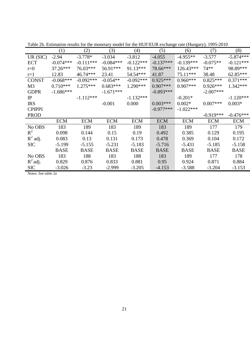|                | (1)         | (2)         | (3)         | (4)         | (5)         | (6)         | (7)         | (8)         |
|----------------|-------------|-------------|-------------|-------------|-------------|-------------|-------------|-------------|
| UR(SIC)        | $-2.94$     | $-3.778*$   | $-3.034$    | $-3.812$    | $-4.055$    | $-4.955**$  | $-3.577$    | $-5.874***$ |
| <b>ECT</b>     | $-0.074***$ | $-0.111***$ | $-0.084***$ | $-0.122***$ | $-0.137***$ | $-0.139***$ | $-0.075**$  | $-0.121***$ |
| $r=0$          | $37.26***$  | 76.03***    | 56.91***    | 91.13***    | 78.66***    | 126.43***   | $74**$      | 98.89***    |
| $r=1$          | 12.83       | $46.74***$  | 23.41       | 54.54***    | 41.87       | $75.11***$  | 38.48       | $62.85***$  |
| <b>CONST</b>   | $-0.068***$ | $-0.092***$ | $-0.054**$  | $-0.092***$ | $0.925***$  | $0.960***$  | $0.825***$  | $0.371***$  |
| M <sub>3</sub> | $0.710***$  | $1.275***$  | $0.683***$  | $1.290***$  | $0.907***$  | $0.907***$  | $0.926***$  | $1.342***$  |
| <b>GDPR</b>    | $-1.686***$ |             | $-1.671***$ |             | $-0.893***$ |             | $-2.007***$ |             |
| IP             |             | $-1.112***$ |             | $-1.132***$ |             | $-0.201*$   |             | $-1.120***$ |
| <b>IRS</b>     |             |             | $-0.001$    | 0.000       | $0.003***$  | $0.002*$    | $0.007***$  | $0.003*$    |
| <b>CPIPPI</b>  |             |             |             |             | $-0.977***$ | $-1.022***$ |             |             |
| <b>PROD</b>    |             |             |             |             |             |             | $-0.919***$ | $-0.476***$ |
|                | <b>ECM</b>  | <b>ECM</b>  | <b>ECM</b>  | <b>ECM</b>  | <b>ECM</b>  | <b>ECM</b>  | <b>ECM</b>  | <b>ECM</b>  |
| No OBS         | 183         | 189         | 183         | 189         | 183         | 189         | 177         | 179         |
| $R^2$          | 0.098       | 0.144       | 0.15        | 0.19        | 0.492       | 0.385       | 0.129       | 0.195       |
| $R^2$ adj.     | 0.083       | 0.13        | 0.131       | 0.173       | 0.478       | 0.369       | 0.104       | 0.172       |
| <b>SIC</b>     | $-5.199$    | $-5.155$    | $-5.231$    | $-5.183$    | $-5.716$    | $-5.431$    | $-5.185$    | $-5.158$    |
|                | <b>BASE</b> | <b>BASE</b> | <b>BASE</b> | <b>BASE</b> | <b>BASE</b> | <b>BASE</b> | <b>BASE</b> | <b>BASE</b> |
| No OBS         | 183         | 188         | 183         | 188         | 183         | 189         | 177         | 178         |
| $R^2$ adj.     | 0.829       | 0.876       | 0.833       | 0.881       | 0.95        | 0.924       | 0.871       | 0.884       |
| <b>SIC</b>     | $-3.026$    | $-3.23$     | $-2.999$    | $-3.205$    | $-4.153$    | $-3.588$    | $-3.204$    | $-3.153$    |

Table 2b. Estimation results for the monetary model for the HUF/EUR exchange rate (Hungary), 1995-2010

Notes: See table 2a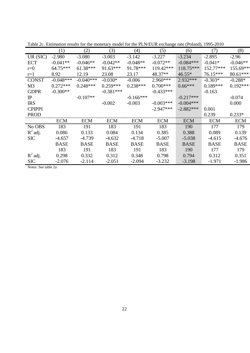|                | (1)         | (2)         | (3)         | (4)         | (5)         | (6)         | (7)         | (8)         |
|----------------|-------------|-------------|-------------|-------------|-------------|-------------|-------------|-------------|
| UR(SIC)        | $-2.980$    | $-3.080$    | $-3.003$    | $-3.142$    | $-3.227$    | $-3.234$    | $-2.895$    | $-2.96$     |
| <b>ECT</b>     | $-0.041**$  | $-0.046**$  | $-0.042**$  | $-0.048**$  | $-0.072**$  | $-0.084***$ | $-0.041*$   | $-0.046**$  |
| $r=0$          | 64.75***    | $61.38***$  | 91.63***    | 91.78***    | 119.42***   | 118.75***   | 152.77***   | 155.69***   |
| $r=1$          | 8.92        | 12.19       | 23.08       | 23.17       | 48.37**     | $46.55*$    | 76.15***    | 80.61***    |
| <b>CONST</b>   | $-0.048***$ | $-0.040***$ | $-0.030*$   | $-0.006$    | $2.960***$  | 2.932***    | $-0.303*$   | $-0.288*$   |
| M <sub>3</sub> | $0.272***$  | $0.248***$  | $0.259***$  | $0.238***$  | $0.700***$  | $0.66***$   | $0.189***$  | $0.192***$  |
| <b>GDPR</b>    | $-0.300**$  |             | $-0.381***$ |             | $-0.433***$ |             | $-0.163$    |             |
| IP             |             | $-0.107**$  |             | $-0.166***$ |             | $-0.217***$ |             | $-0.074$    |
| <b>IRS</b>     |             |             | $-0.002$    | $-0.003$    | $-0.003***$ | $-0.004***$ |             | 0.000       |
| <b>CPIPPI</b>  |             |             |             |             | $-2.947***$ | $-2.882***$ | 0.001       |             |
| <b>PROD</b>    |             |             |             |             |             |             | 0.239       | $0.233*$    |
|                | <b>ECM</b>  | <b>ECM</b>  | <b>ECM</b>  | <b>ECM</b>  | <b>ECM</b>  | <b>ECM</b>  | <b>ECM</b>  | <b>ECM</b>  |
| No OBS         | 183         | 191         | 183         | 191         | 183         | 190         | 177         | 179         |
| $R^2$ adj.     | 0.086       | 0.133       | 0.084       | 0.134       | 0.385       | 0.388       | 0.089       | 0.139       |
| <b>SIC</b>     | $-4.657$    | $-4.739$    | $-4.632$    | $-4.718$    | $-5.007$    | $-5.038$    | $-4.615$    | $-4.676$    |
|                | <b>BASE</b> | <b>BASE</b> | <b>BASE</b> | <b>BASE</b> | <b>BASE</b> | <b>BASE</b> | <b>BASE</b> | <b>BASE</b> |
|                | 183         | 191         | 183         | 191         | 183         | 190         | 177         | 179         |
| $R^2$ adj.     | 0.298       | 0.332       | 0.312       | 0.348       | 0.798       | 0.794       | 0.312       | 0.351       |
| <b>SIC</b>     | $-2.076$    | $-2.114$    | $-2.051$    | $-2.094$    | $-3.232$    | $-3.198$    | $-1.971$    | $-1.986$    |

Table 2c. Estimation results for the monetary model for the PLN/EUR exchange rate (Poland), 1995-2010

Notes: See table 2a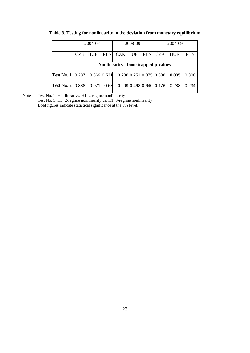|                                                                  | 2004-07                              |  |  | 2008-09 |  |  | 2004-09                         |  |            |
|------------------------------------------------------------------|--------------------------------------|--|--|---------|--|--|---------------------------------|--|------------|
|                                                                  |                                      |  |  |         |  |  | CZK HUF PLN CZK HUF PLN CZK HUF |  | <b>PLN</b> |
|                                                                  | Nonlinearity - bootstrapped p-values |  |  |         |  |  |                                 |  |            |
| Test No. 1 0.287 0.369 0.531 0.208 0.251 0.075 0.608 0.005 0.800 |                                      |  |  |         |  |  |                                 |  |            |
| Test No. 2 0.388 0.071 0.68 0.209 0.468 0.640 0.176 0.283 0.234  |                                      |  |  |         |  |  |                                 |  |            |

**Table 3. Testing for nonlinearity in the deviation from monetary equilibrium**

Notes: Test No. 1: H0: linear vs. H1: 2-regime nonlinearity Test No. 1: H0: 2-regime nonlinearity vs. H1: 3-regime nonlinearity Bold figures indicate statistical significance at the 5% level.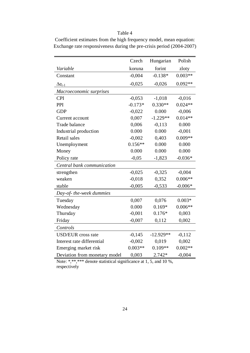# Table 4

| Coefficient estimates from the high frequency model, mean equation:   |  |
|-----------------------------------------------------------------------|--|
| Exchange rate responsiveness during the pre-crisis period (2004-2007) |  |

|                               | Czech     | Hungarian   | Polish    |
|-------------------------------|-----------|-------------|-----------|
| Variable                      | koruna    | forint      | zloty     |
| Constant                      | $-0,004$  | $-0.138*$   | $0.003**$ |
| $\Delta e_{t-1}$              | $-0,025$  | $-0,026$    | $0.092**$ |
| Macroeconomic surprises       |           |             |           |
| <b>CPI</b>                    | $-0,053$  | $-1,018$    | $-0,016$  |
| PPI                           | $-0.173*$ | $0.330**$   | $0.024**$ |
| <b>GDP</b>                    | $-0,022$  | 0.000       | $-0,006$  |
| Current account               | 0,007     | $-1.229**$  | $0.014**$ |
| Trade balance                 | 0,006     | $-0,113$    | 0.000     |
| Industrial production         | 0.000     | 0.000       | $-0,001$  |
| Retail sales                  | $-0,002$  | 0,403       | $0.009**$ |
| Unemployment                  | $0.156**$ | 0.000       | 0.000     |
| Money                         | 0.000     | 0.000       | 0.000     |
| Policy rate                   | $-0,05$   | $-1,823$    | $-0.036*$ |
| Central bank communication    |           |             |           |
| strengthen                    | $-0,025$  | $-0,325$    | $-0,004$  |
| weaken                        | $-0,018$  | 0,352       | $0.006**$ |
| stable                        | $-0,005$  | $-0,533$    | $-0.006*$ |
| Day-of- the-week dummies      |           |             |           |
| Tuesday                       | 0,007     | 0,076       | $0.003*$  |
| Wednesday                     | 0.000     | $0.169*$    | $0.006**$ |
| Thursday                      | $-0,001$  | $0.176*$    | 0,003     |
| Friday                        | $-0,007$  | 0,112       | 0,002     |
| Controls                      |           |             |           |
| USD/EUR cross rate            | $-0,145$  | $-12.929**$ | $-0,112$  |
| Interest rate differential    | $-0,002$  | 0,019       | 0,002     |
| Emerging market risk          | $0.003**$ | $0.109**$   | $0.002**$ |
| Deviation from monetary model | 0,003     | 2.742*      | $-0,004$  |

Note: \*,\*\*,\*\*\* denote statistical significance at 1, 5, and 10 %, respectively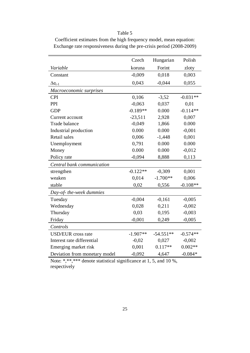# Table 5

| Coefficient estimates from the high frequency model, mean equation:   |
|-----------------------------------------------------------------------|
| Exchange rate responsiveness during the pre-crisis period (2008-2009) |

|                               | Czech      | Hungarian   | Polish     |
|-------------------------------|------------|-------------|------------|
| Variable                      | koruna     | Forint      | zloty      |
| Constant                      | $-0,009$   | 0,018       | 0,003      |
| $\Delta e_{t-1}$              | 0,043      | $-0,044$    | 0,055      |
| Macroeconomic surprises       |            |             |            |
| <b>CPI</b>                    | 0,106      | $-3,52$     | $-0.031**$ |
| PPI                           | $-0,063$   | 0,037       | 0,01       |
| <b>GDP</b>                    | $-0.189**$ | 0.000       | $-0.114**$ |
| Current account               | $-23,511$  | 2,928       | 0,007      |
| Trade balance                 | $-0,049$   | 1,866       | 0.000      |
| Industrial production         | 0.000      | 0.000       | $-0,001$   |
| Retail sales                  | 0,006      | $-1,448$    | 0,001      |
| Unemployment                  | 0,791      | 0.000       | 0.000      |
| Money                         | 0.000      | 0.000       | $-0,012$   |
| Policy rate                   | $-0,094$   | 8,888       | 0,113      |
| Central bank communication    |            |             |            |
| strengthen                    | $-0.122**$ | $-0,309$    | 0,001      |
| weaken                        | 0,014      | $-1.700**$  | 0,006      |
| stable                        | 0,02       | 0,556       | $-0.108**$ |
| Day-of- the-week dummies      |            |             |            |
| Tuesday                       | $-0,004$   | $-0,161$    | $-0,005$   |
| Wednesday                     | 0,028      | 0,211       | $-0,002$   |
| Thursday                      | 0,03       | 0,195       | $-0,003$   |
| Friday                        | $-0,001$   | 0,249       | $-0,005$   |
| Controls                      |            |             |            |
| <b>USD/EUR</b> cross rate     | $-1.907**$ | $-54.551**$ | $-0.574**$ |
| Interest rate differential    | $-0,02$    | 0,027       | $-0,002$   |
| Emerging market risk          | 0,001      | $0.117**$   | $0.002**$  |
| Deviation from monetary model | $-0,092$   | 4,647       | $-0.084*$  |

Note: \*,\*\*,\*\*\* denote statistical significance at 1, 5, and 10 %, respectively